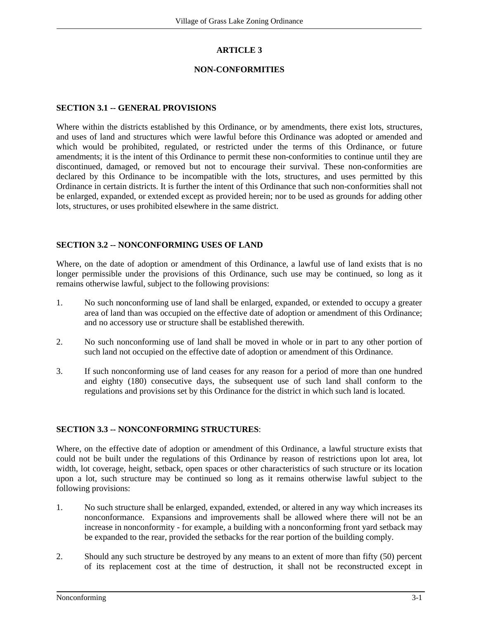# **ARTICLE 3**

## **NON-CONFORMITIES**

## **SECTION 3.1 -- GENERAL PROVISIONS**

Where within the districts established by this Ordinance, or by amendments, there exist lots, structures, and uses of land and structures which were lawful before this Ordinance was adopted or amended and which would be prohibited, regulated, or restricted under the terms of this Ordinance, or future amendments; it is the intent of this Ordinance to permit these non-conformities to continue until they are discontinued, damaged, or removed but not to encourage their survival. These non-conformities are declared by this Ordinance to be incompatible with the lots, structures, and uses permitted by this Ordinance in certain districts. It is further the intent of this Ordinance that such non-conformities shall not be enlarged, expanded, or extended except as provided herein; nor to be used as grounds for adding other lots, structures, or uses prohibited elsewhere in the same district.

## **SECTION 3.2 -- NONCONFORMING USES OF LAND**

Where, on the date of adoption or amendment of this Ordinance, a lawful use of land exists that is no longer permissible under the provisions of this Ordinance, such use may be continued, so long as it remains otherwise lawful, subject to the following provisions:

- 1. No such nonconforming use of land shall be enlarged, expanded, or extended to occupy a greater area of land than was occupied on the effective date of adoption or amendment of this Ordinance; and no accessory use or structure shall be established therewith.
- 2. No such nonconforming use of land shall be moved in whole or in part to any other portion of such land not occupied on the effective date of adoption or amendment of this Ordinance.
- 3. If such nonconforming use of land ceases for any reason for a period of more than one hundred and eighty (180) consecutive days, the subsequent use of such land shall conform to the regulations and provisions set by this Ordinance for the district in which such land is located.

#### **SECTION 3.3 -- NONCONFORMING STRUCTURES**:

Where, on the effective date of adoption or amendment of this Ordinance, a lawful structure exists that could not be built under the regulations of this Ordinance by reason of restrictions upon lot area, lot width, lot coverage, height, setback, open spaces or other characteristics of such structure or its location upon a lot, such structure may be continued so long as it remains otherwise lawful subject to the following provisions:

- 1. No such structure shall be enlarged, expanded, extended, or altered in any way which increases its nonconformance. Expansions and improvements shall be allowed where there will not be an increase in nonconformity - for example, a building with a nonconforming front yard setback may be expanded to the rear, provided the setbacks for the rear portion of the building comply.
- 2. Should any such structure be destroyed by any means to an extent of more than fifty (50) percent of its replacement cost at the time of destruction, it shall not be reconstructed except in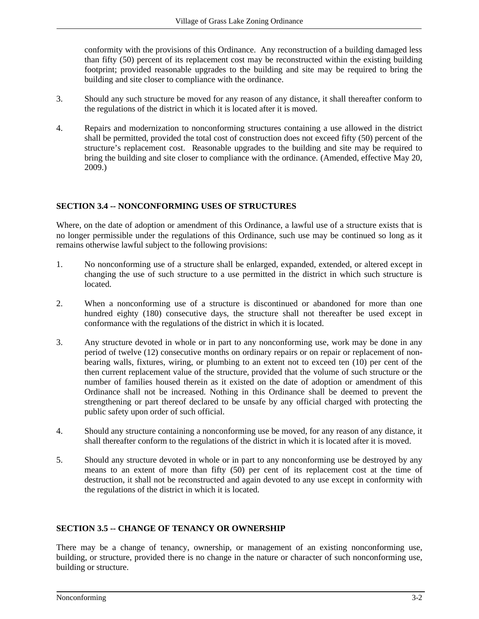conformity with the provisions of this Ordinance. Any reconstruction of a building damaged less than fifty (50) percent of its replacement cost may be reconstructed within the existing building footprint; provided reasonable upgrades to the building and site may be required to bring the building and site closer to compliance with the ordinance.

- 3. Should any such structure be moved for any reason of any distance, it shall thereafter conform to the regulations of the district in which it is located after it is moved.
- 4. Repairs and modernization to nonconforming structures containing a use allowed in the district shall be permitted, provided the total cost of construction does not exceed fifty (50) percent of the structure's replacement cost. Reasonable upgrades to the building and site may be required to bring the building and site closer to compliance with the ordinance. (Amended, effective May 20, 2009.)

## **SECTION 3.4 -- NONCONFORMING USES OF STRUCTURES**

Where, on the date of adoption or amendment of this Ordinance, a lawful use of a structure exists that is no longer permissible under the regulations of this Ordinance, such use may be continued so long as it remains otherwise lawful subject to the following provisions:

- 1. No nonconforming use of a structure shall be enlarged, expanded, extended, or altered except in changing the use of such structure to a use permitted in the district in which such structure is located.
- 2. When a nonconforming use of a structure is discontinued or abandoned for more than one hundred eighty (180) consecutive days, the structure shall not thereafter be used except in conformance with the regulations of the district in which it is located.
- 3. Any structure devoted in whole or in part to any nonconforming use, work may be done in any period of twelve (12) consecutive months on ordinary repairs or on repair or replacement of nonbearing walls, fixtures, wiring, or plumbing to an extent not to exceed ten (10) per cent of the then current replacement value of the structure, provided that the volume of such structure or the number of families housed therein as it existed on the date of adoption or amendment of this Ordinance shall not be increased. Nothing in this Ordinance shall be deemed to prevent the strengthening or part thereof declared to be unsafe by any official charged with protecting the public safety upon order of such official.
- 4. Should any structure containing a nonconforming use be moved, for any reason of any distance, it shall thereafter conform to the regulations of the district in which it is located after it is moved.
- 5. Should any structure devoted in whole or in part to any nonconforming use be destroyed by any means to an extent of more than fifty (50) per cent of its replacement cost at the time of destruction, it shall not be reconstructed and again devoted to any use except in conformity with the regulations of the district in which it is located.

#### **SECTION 3.5 -- CHANGE OF TENANCY OR OWNERSHIP**

There may be a change of tenancy, ownership, or management of an existing nonconforming use, building, or structure, provided there is no change in the nature or character of such nonconforming use, building or structure.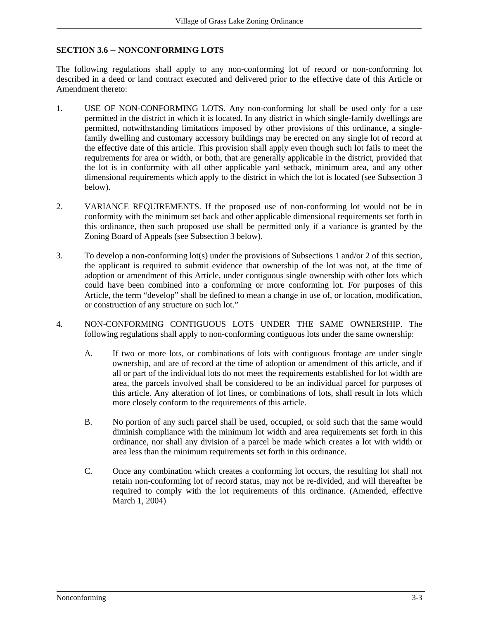# **SECTION 3.6 -- NONCONFORMING LOTS**

The following regulations shall apply to any non-conforming lot of record or non-conforming lot described in a deed or land contract executed and delivered prior to the effective date of this Article or Amendment thereto:

- 1. USE OF NON-CONFORMING LOTS. Any non-conforming lot shall be used only for a use permitted in the district in which it is located. In any district in which single-family dwellings are permitted, notwithstanding limitations imposed by other provisions of this ordinance, a singlefamily dwelling and customary accessory buildings may be erected on any single lot of record at the effective date of this article. This provision shall apply even though such lot fails to meet the requirements for area or width, or both, that are generally applicable in the district, provided that the lot is in conformity with all other applicable yard setback, minimum area, and any other dimensional requirements which apply to the district in which the lot is located (see Subsection 3 below).
- 2. VARIANCE REQUIREMENTS. If the proposed use of non-conforming lot would not be in conformity with the minimum set back and other applicable dimensional requirements set forth in this ordinance, then such proposed use shall be permitted only if a variance is granted by the Zoning Board of Appeals (see Subsection 3 below).
- 3. To develop a non-conforming lot(s) under the provisions of Subsections 1 and/or 2 of this section, the applicant is required to submit evidence that ownership of the lot was not, at the time of adoption or amendment of this Article, under contiguous single ownership with other lots which could have been combined into a conforming or more conforming lot. For purposes of this Article, the term "develop" shall be defined to mean a change in use of, or location, modification, or construction of any structure on such lot."
- 4. NON-CONFORMING CONTIGUOUS LOTS UNDER THE SAME OWNERSHIP. The following regulations shall apply to non-conforming contiguous lots under the same ownership:
	- A. If two or more lots, or combinations of lots with contiguous frontage are under single ownership, and are of record at the time of adoption or amendment of this article, and if all or part of the individual lots do not meet the requirements established for lot width are area, the parcels involved shall be considered to be an individual parcel for purposes of this article. Any alteration of lot lines, or combinations of lots, shall result in lots which more closely conform to the requirements of this article.
	- B. No portion of any such parcel shall be used, occupied, or sold such that the same would diminish compliance with the minimum lot width and area requirements set forth in this ordinance, nor shall any division of a parcel be made which creates a lot with width or area less than the minimum requirements set forth in this ordinance.
	- C. Once any combination which creates a conforming lot occurs, the resulting lot shall not retain non-conforming lot of record status, may not be re-divided, and will thereafter be required to comply with the lot requirements of this ordinance. (Amended, effective March 1, 2004)